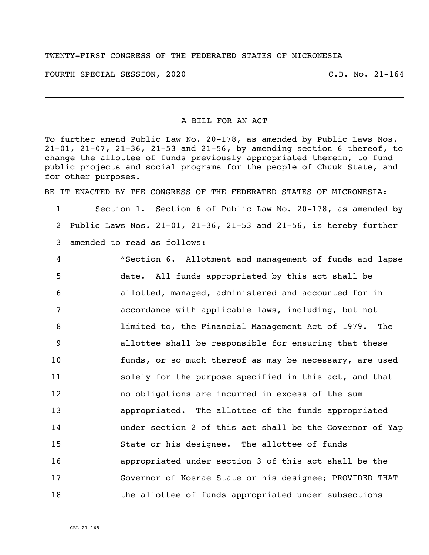## TWENTY-FIRST CONGRESS OF THE FEDERATED STATES OF MICRONESIA

FOURTH SPECIAL SESSION, 2020 C.B. No. 21-164

## A BILL FOR AN ACT

To further amend Public Law No. 20-178, as amended by Public Laws Nos. 21-01, 21-07, 21-36, 21-53 and 21-56, by amending section 6 thereof, to change the allottee of funds previously appropriated therein, to fund public projects and social programs for the people of Chuuk State, and for other purposes.

BE IT ENACTED BY THE CONGRESS OF THE FEDERATED STATES OF MICRONESIA:

 Section 1. Section 6 of Public Law No. 20-178, as amended by Public Laws Nos. 21-01, 21-36, 21-53 and 21-56, is hereby further amended to read as follows:

 "Section 6. Allotment and management of funds and lapse date. All funds appropriated by this act shall be allotted, managed, administered and accounted for in accordance with applicable laws, including, but not limited to, the Financial Management Act of 1979. The allottee shall be responsible for ensuring that these funds, or so much thereof as may be necessary, are used solely for the purpose specified in this act, and that no obligations are incurred in excess of the sum appropriated. The allottee of the funds appropriated under section 2 of this act shall be the Governor of Yap State or his designee. The allottee of funds appropriated under section 3 of this act shall be the Governor of Kosrae State or his designee; PROVIDED THAT 18 the allottee of funds appropriated under subsections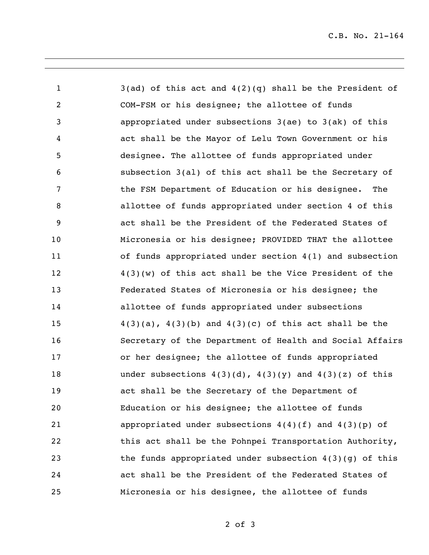3(ad) of this act and 4(2)(q) shall be the President of COM-FSM or his designee; the allottee of funds appropriated under subsections 3(ae) to 3(ak) of this act shall be the Mayor of Lelu Town Government or his designee. The allottee of funds appropriated under subsection 3(al) of this act shall be the Secretary of the FSM Department of Education or his designee. The allottee of funds appropriated under section 4 of this act shall be the President of the Federated States of Micronesia or his designee; PROVIDED THAT the allottee of funds appropriated under section 4(1) and subsection 4(3)(w) of this act shall be the Vice President of the Federated States of Micronesia or his designee; the allottee of funds appropriated under subsections  $4(3)(a)$ ,  $4(3)(b)$  and  $4(3)(c)$  of this act shall be the Secretary of the Department of Health and Social Affairs or her designee; the allottee of funds appropriated 18 under subsections  $4(3)(d)$ ,  $4(3)(y)$  and  $4(3)(z)$  of this act shall be the Secretary of the Department of Education or his designee; the allottee of funds appropriated under subsections 4(4)(f) and 4(3)(p) of 22 this act shall be the Pohnpei Transportation Authority, the funds appropriated under subsection 4(3)(g) of this act shall be the President of the Federated States of Micronesia or his designee, the allottee of funds

of 3